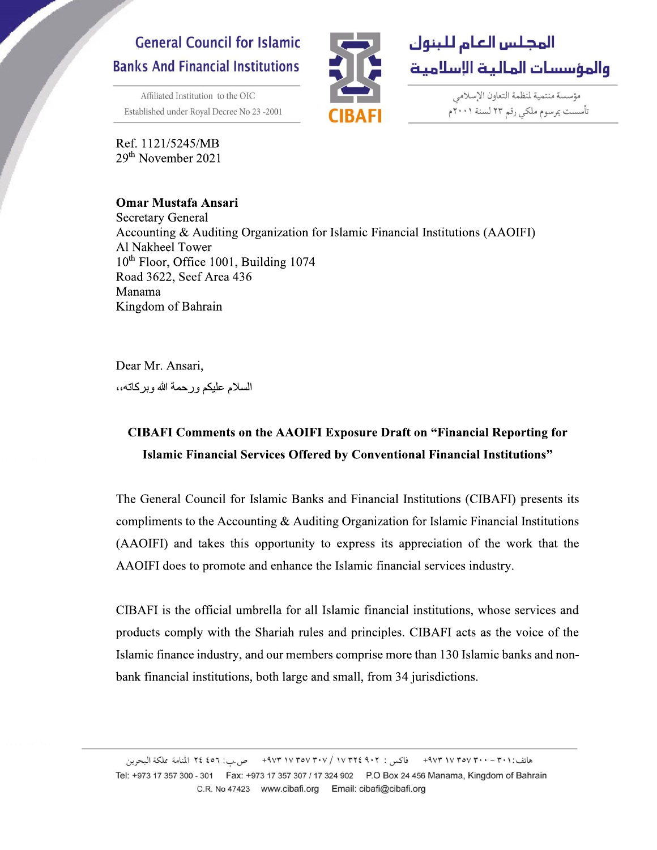## **General Council for Islamic Banks And Financial Institutions**

Affiliated Institution to the OIC Established under Royal Decree No 23-2001

Ref. 1121/5245/MB 29<sup>th</sup> November 2021

## **Omar Mustafa Ansari**



مؤسسة منتمية لمنظمة التعاون الإسلامي تأسست بمرسوم ملكي رقم ٢٣ لسنة ٢٠٠١م

**Secretary General** Accounting & Auditing Organization for Islamic Financial Institutions (AAOIFI) Al Nakheel Tower 10<sup>th</sup> Floor, Office 1001, Building 1074 Road 3622, Seef Area 436 Manama Kingdom of Bahrain

Dear Mr. Ansari, السلام عليكم ورحمة الله وبركاته،،

## **CIBAFI Comments on the AAOIFI Exposure Draft on "Financial Reporting for** Islamic Financial Services Offered by Conventional Financial Institutions"

The General Council for Islamic Banks and Financial Institutions (CIBAFI) presents its compliments to the Accounting  $\&$  Auditing Organization for Islamic Financial Institutions (AAOIFI) and takes this opportunity to express its appreciation of the work that the AAOIFI does to promote and enhance the Islamic financial services industry.

CIBAFI is the official umbrella for all Islamic financial institutions, whose services and products comply with the Shariah rules and principles. CIBAFI acts as the voice of the Islamic finance industry, and our members comprise more than 130 Islamic banks and nonbank financial institutions, both large and small, from 34 jurisdictions.

هاتف:٢٠١ - ٢٠٠ ٣٧٧ ٣٧٧ ٩٧٣ - فاكس : ٢٠٢ ٩٠٢ ٣٥٧ ٣٧٧ ٩٧٣ - ص س: ٤٥٦ ٢٤ المنامة مملكة البحرين Tel: +973 17 357 300 - 301 Fax: +973 17 357 307 / 17 324 902 P.O Box 24 456 Manama, Kingdom of Bahrain C.R. No 47423 www.cibafi.org Email: cibafi@cibafi.org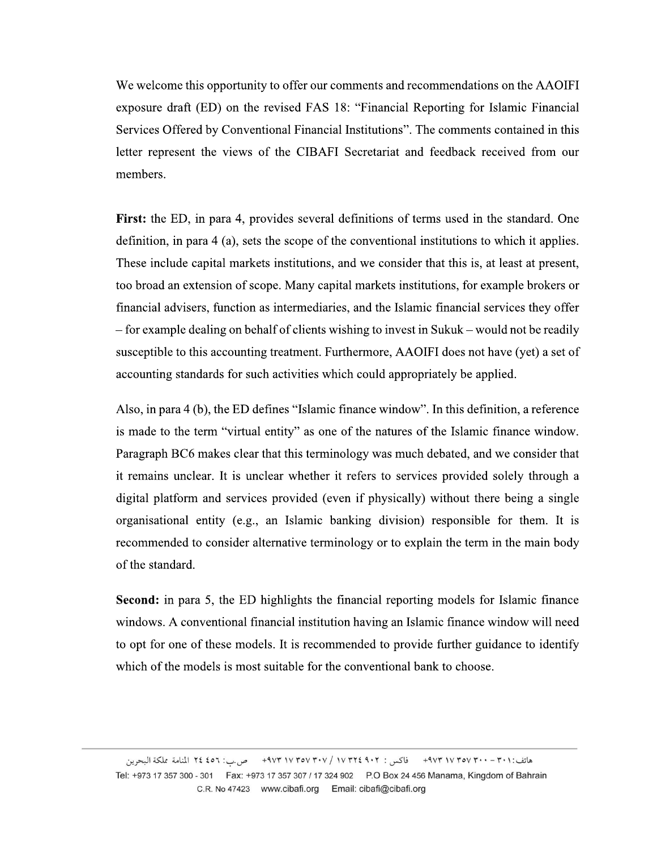We welcome this opportunity to offer our comments and recommendations on the AAOIFI exposure draft (ED) on the revised FAS 18: "Financial Reporting for Islamic Financial Services Offered by Conventional Financial Institutions". The comments contained in this letter represent the views of the CIBAFI Secretariat and feedback received from our members.

First: the ED, in para 4, provides several definitions of terms used in the standard. One definition, in para 4 (a), sets the scope of the conventional institutions to which it applies. These include capital markets institutions, and we consider that this is, at least at present, too broad an extension of scope. Many capital markets institutions, for example brokers or financial advisers, function as intermediaries, and the Islamic financial services they offer - for example dealing on behalf of clients wishing to invest in Sukuk – would not be readily susceptible to this accounting treatment. Furthermore, AAOIFI does not have (yet) a set of accounting standards for such activities which could appropriately be applied.

Also, in para 4 (b), the ED defines "Islamic finance window". In this definition, a reference is made to the term "virtual entity" as one of the natures of the Islamic finance window. Paragraph BC6 makes clear that this terminology was much debated, and we consider that it remains unclear. It is unclear whether it refers to services provided solely through a digital platform and services provided (even if physically) without there being a single organisational entity (e.g., an Islamic banking division) responsible for them. It is recommended to consider alternative terminology or to explain the term in the main body of the standard.

**Second:** in para 5, the ED highlights the financial reporting models for Islamic finance windows. A conventional financial institution having an Islamic finance window will need to opt for one of these models. It is recommended to provide further guidance to identify which of the models is most suitable for the conventional bank to choose.